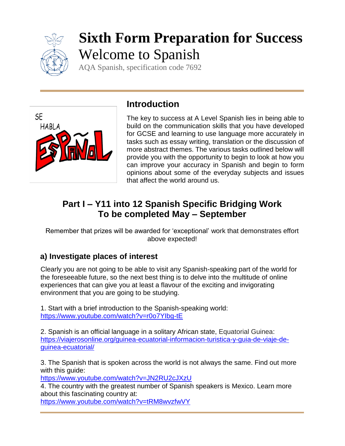

# **Sixth Form Preparation for Success** Welcome to Spanish

AQA Spanish, specification code 7692



# **Introduction**

The key to success at A Level Spanish lies in being able to build on the communication skills that you have developed for GCSE and learning to use language more accurately in tasks such as essay writing, translation or the discussion of more abstract themes. The various tasks outlined below will provide you with the opportunity to begin to look at how you can improve your accuracy in Spanish and begin to form opinions about some of the everyday subjects and issues that affect the world around us.

# **Part I – Y11 into 12 Spanish Specific Bridging Work To be completed May – September**

Remember that prizes will be awarded for 'exceptional' work that demonstrates effort above expected!

# **a) Investigate places of interest**

Clearly you are not going to be able to visit any Spanish-speaking part of the world for the foreseeable future, so the next best thing is to delve into the multitude of online experiences that can give you at least a flavour of the exciting and invigorating environment that you are going to be studying.

1. Start with a brief introduction to the Spanish-speaking world: <https://www.youtube.com/watch?v=r0o7YIbg-tE>

2. Spanish is an official language in a solitary African state, Equatorial Guinea: [https://viajerosonline.org/guinea-ecuatorial-informacion-turistica-y-guia-de-viaje-de](https://viajerosonline.org/guinea-ecuatorial-informacion-turistica-y-guia-de-viaje-de-guinea-ecuatorial/)[guinea-ecuatorial/](https://viajerosonline.org/guinea-ecuatorial-informacion-turistica-y-guia-de-viaje-de-guinea-ecuatorial/)

3. The Spanish that is spoken across the world is not always the same. Find out more with this guide:

<https://www.youtube.com/watch?v=JN2RU2cJXzU>

4. The country with the greatest number of Spanish speakers is Mexico. Learn more about this fascinating country at:

<https://www.youtube.com/watch?v=tRM8wvzfwVY>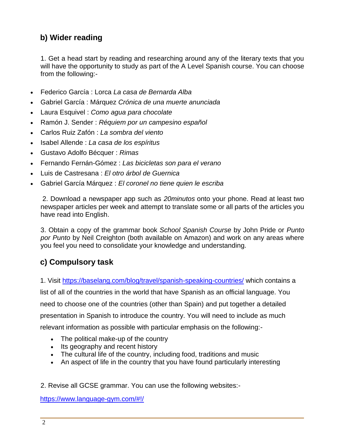# **b) Wider reading**

1. Get a head start by reading and researching around any of the literary texts that you will have the opportunity to study as part of the A Level Spanish course. You can choose from the following:-

- Federico García : Lorca *La casa de Bernarda Alba*
- Gabriel García : Márquez *Crónica de una muerte anunciada*
- Laura Esquivel : *Como agua para chocolate*
- Ramón J. Sender : *Réquiem por un campesino español*
- Carlos Ruiz Zafón : *La sombra del viento*
- Isabel Allende : *La casa de los espíritus*
- Gustavo Adolfo Bécquer : *Rimas*
- Fernando Fernán-Gómez : *Las bicicletas son para el verano*
- Luis de Castresana : *El otro árbol de Guernica*
- Gabriel García Márquez : *El coronel no tiene quien le escriba*

2. Download a newspaper app such as *20minutos* onto your phone. Read at least two newspaper articles per week and attempt to translate some or all parts of the articles you have read into English.

3. Obtain a copy of the grammar book *School Spanish Course* by John Pride or *Punto por Punto* by Neil Creighton (both available on Amazon) and work on any areas where you feel you need to consolidate your knowledge and understanding.

## **c) Compulsory task**

1. Visit <https://baselang.com/blog/travel/spanish-speaking-countries/> which contains a

list of all of the countries in the world that have Spanish as an official language. You need to choose one of the countries (other than Spain) and put together a detailed presentation in Spanish to introduce the country. You will need to include as much relevant information as possible with particular emphasis on the following:-

- The political make-up of the country
- Its geography and recent history
- The cultural life of the country, including food, traditions and music
- An aspect of life in the country that you have found particularly interesting
- 2. Revise all GCSE grammar. You can use the following websites:-

<https://www.language-gym.com/#!/>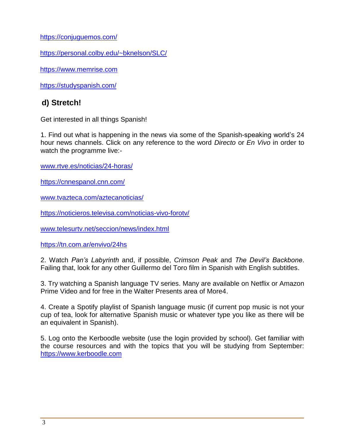<https://conjuguemos.com/>

<https://personal.colby.edu/~bknelson/SLC/>

[https://www.memrise.com](https://www.memrise.com/)

<https://studyspanish.com/>

#### **d) Stretch!**

Get interested in all things Spanish!

1. Find out what is happening in the news via some of the Spanish-speaking world's 24 hour news channels. Click on any reference to the word *Directo* or *En Vivo* in order to watch the programme live:-

[www.rtve.es/noticias/24-horas/](http://www.rtve.es/noticias/24-horas/)

<https://cnnespanol.cnn.com/>

[www.tvazteca.com/aztecanoticias/](http://www.tvazteca.com/aztecanoticias/)

<https://noticieros.televisa.com/noticias-vivo-forotv/>

[www.telesurtv.net/seccion/news/index.html](http://www.telesurtv.net/seccion/news/index.html)

<https://tn.com.ar/envivo/24hs>

2. Watch *Pan's Labyrinth* and, if possible, *Crimson Peak* and *The Devil's Backbone*. Failing that, look for any other Guillermo del Toro film in Spanish with English subtitles.

3. Try watching a Spanish language TV series. Many are available on Netflix or Amazon Prime Video and for free in the Walter Presents area of More4.

4. Create a Spotify playlist of Spanish language music (if current pop music is not your cup of tea, look for alternative Spanish music or whatever type you like as there will be an equivalent in Spanish).

5. Log onto the Kerboodle website (use the login provided by school). Get familiar with the course resources and with the topics that you will be studying from September: [https://www.kerboodle.com](https://www.kerboodle.com/)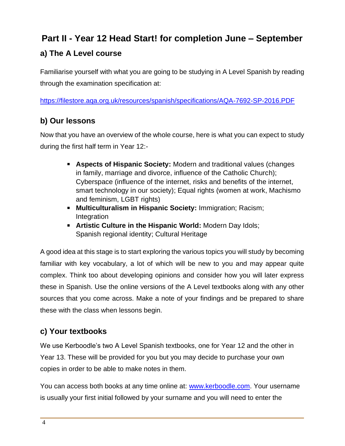# **Part II - Year 12 Head Start! for completion June – September**

# **a) The A Level course**

Familiarise yourself with what you are going to be studying in A Level Spanish by reading through the examination specification at:

<https://filestore.aqa.org.uk/resources/spanish/specifications/AQA-7692-SP-2016.PDF>

# **b) Our lessons**

Now that you have an overview of the whole course, here is what you can expect to study during the first half term in Year 12:-

- **Aspects of Hispanic Society:** Modern and traditional values (changes in family, marriage and divorce, influence of the Catholic Church); Cyberspace (influence of the internet, risks and benefits of the internet, smart technology in our society); Equal rights (women at work, Machismo and feminism, LGBT rights)
- **Multiculturalism in Hispanic Society:** Immigration; Racism; Integration
- **Artistic Culture in the Hispanic World:** Modern Day Idols; Spanish regional identity; Cultural Heritage

A good idea at this stage is to start exploring the various topics you will study by becoming familiar with key vocabulary, a lot of which will be new to you and may appear quite complex. Think too about developing opinions and consider how you will later express these in Spanish. Use the online versions of the A Level textbooks along with any other sources that you come across. Make a note of your findings and be prepared to share these with the class when lessons begin.

## **c) Your textbooks**

We use Kerboodle's two A Level Spanish textbooks, one for Year 12 and the other in Year 13. These will be provided for you but you may decide to purchase your own copies in order to be able to make notes in them.

You can access both books at any time online at: [www.kerboodle.com.](http://www.kerboodle.com/) Your username is usually your first initial followed by your surname and you will need to enter the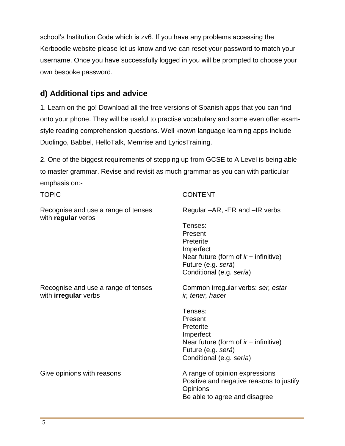school's Institution Code which is zv6. If you have any problems accessing the Kerboodle website please let us know and we can reset your password to match your username. Once you have successfully logged in you will be prompted to choose your own bespoke password.

## **d) Additional tips and advice**

1. Learn on the go! Download all the free versions of Spanish apps that you can find onto your phone. They will be useful to practise vocabulary and some even offer examstyle reading comprehension questions. Well known language learning apps include Duolingo, Babbel, HelloTalk, Memrise and LyricsTraining.

2. One of the biggest requirements of stepping up from GCSE to A Level is being able to master grammar. Revise and revisit as much grammar as you can with particular emphasis on:-

| <b>TOPIC</b>                                                       | <b>CONTENT</b>                                                                                                                            |
|--------------------------------------------------------------------|-------------------------------------------------------------------------------------------------------------------------------------------|
| Recognise and use a range of tenses<br>with regular verbs          | Regular –AR, -ER and –IR verbs                                                                                                            |
|                                                                    | Tenses:<br>Present<br>Preterite<br>Imperfect<br>Near future (form of $ir +$ infinitive)<br>Future (e.g. será)<br>Conditional (e.g. sería) |
| Recognise and use a range of tenses<br>with <b>irregular</b> verbs | Common irregular verbs: ser, estar<br>ir, tener, hacer                                                                                    |
|                                                                    | Tenses:<br>Present<br>Preterite<br>Imperfect<br>Near future (form of $ir +$ infinitive)<br>Future (e.g. será)<br>Conditional (e.g. sería) |
| Give opinions with reasons                                         | A range of opinion expressions<br>Positive and negative reasons to justify<br><b>Opinions</b><br>Be able to agree and disagree            |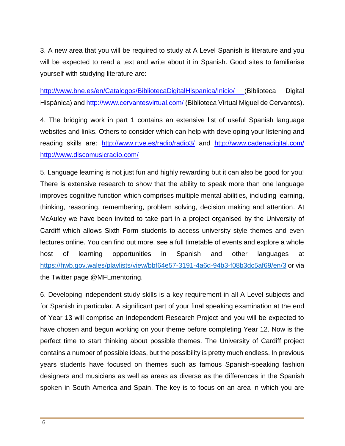3. A new area that you will be required to study at A Level Spanish is literature and you will be expected to read a text and write about it in Spanish. Good sites to familiarise yourself with studying literature are:

<http://www.bne.es/en/Catalogos/BibliotecaDigitalHispanica/Inicio/> (Biblioteca Digital Hispánica) and <http://www.cervantesvirtual.com/> (Biblioteca Virtual Miguel de Cervantes).

4. The bridging work in part 1 contains an extensive list of useful Spanish language websites and links. Others to consider which can help with developing your listening and reading skills are: <http://www.rtve.es/radio/radio3/> and <http://www.cadenadigital.com/> <http://www.discomusicradio.com/>

5. Language learning is not just fun and highly rewarding but it can also be good for you! There is extensive research to show that the ability to speak more than one language improves cognitive function which comprises multiple mental abilities, including learning, thinking, reasoning, remembering, problem solving, decision making and attention. At McAuley we have been invited to take part in a project organised by the University of Cardiff which allows Sixth Form students to access university style themes and even lectures online. You can find out more, see a full timetable of events and explore a whole host of learning opportunities in Spanish and other languages at [https://hwb.gov.wales/playlists/view/bbf64e57-3191-4a6d-94b3-f08b3dc5af69/en/3](https://owa2.mcauley.org.uk/owa/redir.aspx?C=ims_hM7vXGPo-wGsybshQOrV3gCbynl7PidYw_1o3Cvgx5f4LgbYCA..&URL=https%3a%2f%2fhwb.gov.wales%2fplaylists%2fview%2fbbf64e57-3191-4a6d-94b3-f08b3dc5af69%2fen%2f3) or via the Twitter page @MFLmentoring.

6. Developing independent study skills is a key requirement in all A Level subjects and for Spanish in particular. A significant part of your final speaking examination at the end of Year 13 will comprise an Independent Research Project and you will be expected to have chosen and begun working on your theme before completing Year 12. Now is the perfect time to start thinking about possible themes. The University of Cardiff project contains a number of possible ideas, but the possibility is pretty much endless. In previous years students have focused on themes such as famous Spanish-speaking fashion designers and musicians as well as areas as diverse as the differences in the Spanish spoken in South America and Spain. The key is to focus on an area in which you are